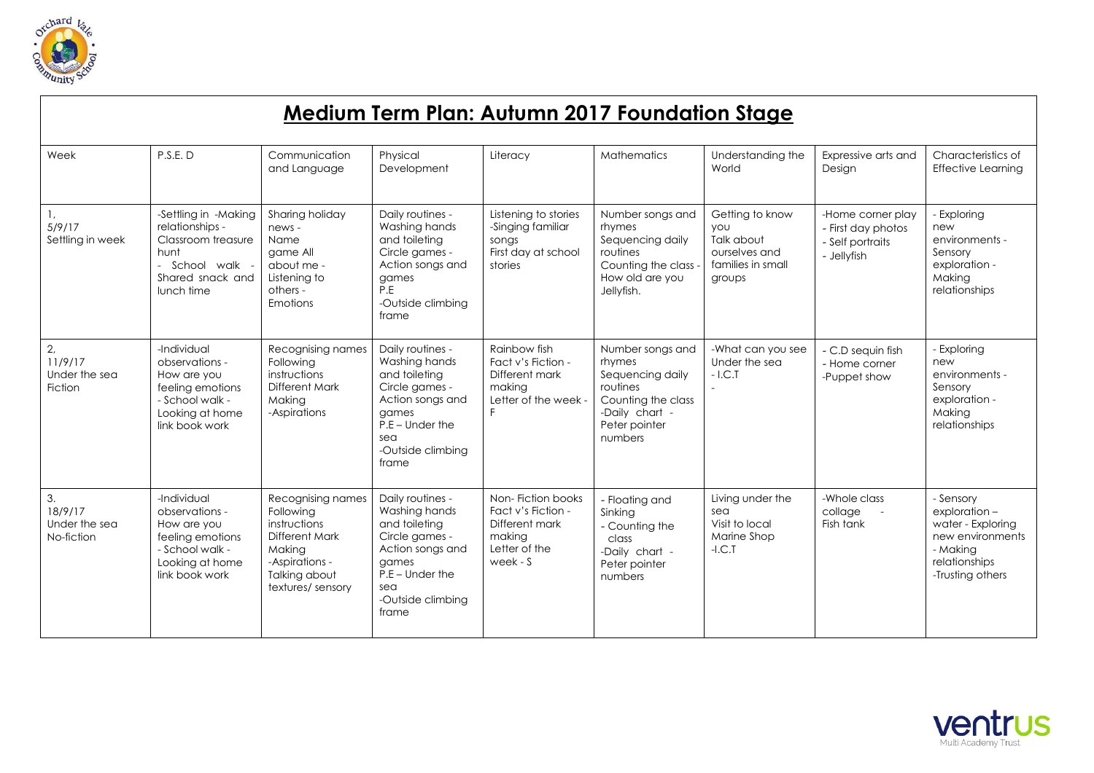

| <b>Medium Term Plan: Autumn 2017 Foundation Stage</b> |                                                                                                                          |                                                                                                                                   |                                                                                                                                                             |                                                                                                  |                                                                                                                                |                                                                                             |                                                                            |                                                                                                                     |  |  |  |  |
|-------------------------------------------------------|--------------------------------------------------------------------------------------------------------------------------|-----------------------------------------------------------------------------------------------------------------------------------|-------------------------------------------------------------------------------------------------------------------------------------------------------------|--------------------------------------------------------------------------------------------------|--------------------------------------------------------------------------------------------------------------------------------|---------------------------------------------------------------------------------------------|----------------------------------------------------------------------------|---------------------------------------------------------------------------------------------------------------------|--|--|--|--|
| Week                                                  | P.S.E.D                                                                                                                  | Communication<br>and Language                                                                                                     | Physical<br>Development                                                                                                                                     | Literacy                                                                                         | <b>Mathematics</b>                                                                                                             | Understanding the<br>World                                                                  | Expressive arts and<br>Design                                              | Characteristics of<br><b>Effective Learning</b>                                                                     |  |  |  |  |
| 1,<br>5/9/17<br>Settling in week                      | -Settling in -Making<br>relationships -<br>Classroom treasure<br>hunt<br>- School walk<br>Shared snack and<br>lunch time | Sharing holiday<br>news -<br>Name<br>game All<br>about me -<br>Listening to<br>others -<br>Emotions                               | Daily routines -<br>Washing hands<br>and toileting<br>Circle games -<br>Action songs and<br>games<br>P.E<br>-Outside climbing<br>frame                      | Listening to stories<br>-Singing familiar<br>songs<br>First day at school<br>stories             | Number songs and<br>rhymes<br>Sequencing daily<br>routines<br>Counting the class<br>How old are you<br>Jellyfish.              | Getting to know<br><b>YOU</b><br>Talk about<br>ourselves and<br>families in small<br>groups | -Home corner play<br>- First day photos<br>- Self portraits<br>- Jellyfish | - Exploring<br>new<br>environments -<br>Sensory<br>exploration -<br>Making<br>relationships                         |  |  |  |  |
| 2,<br>11/9/17<br>Under the sea<br>Fiction             | -Individual<br>observations -<br>How are you<br>feeling emotions<br>- School walk -<br>Looking at home<br>link book work | Recognising names<br>Following<br>instructions<br><b>Different Mark</b><br>Making<br>-Aspirations                                 | Daily routines -<br>Washing hands<br>and toileting<br>Circle games -<br>Action songs and<br>games<br>$P.E - Under the$<br>sea<br>-Outside climbing<br>frame | Rainbow fish<br>Fact v's Fiction -<br>Different mark<br>making<br>Letter of the week -<br>F      | Number songs and<br>rhymes<br>Sequencing daily<br>routines<br>Counting the class<br>-Daily chart -<br>Peter pointer<br>numbers | -What can you see<br>Under the sea<br>$-1.C.T$                                              | - C.D sequin fish<br>- Home corner<br>-Puppet show                         | - Exploring<br>new<br>environments -<br>Sensory<br>exploration -<br>Making<br>relationships                         |  |  |  |  |
| 3.<br>18/9/17<br>Under the sea<br>No-fiction          | -Individual<br>observations -<br>How are you<br>feeling emotions<br>- School walk -<br>Looking at home<br>link book work | Recognising names<br>Following<br>instructions<br>Different Mark<br>Making<br>-Aspirations -<br>Talking about<br>textures/sensory | Daily routines -<br>Washing hands<br>and toileting<br>Circle games -<br>Action songs and<br>games<br>$P.E - Under the$<br>sea<br>-Outside climbing<br>frame | Non-Fiction books<br>Fact v's Fiction -<br>Different mark<br>making<br>Letter of the<br>week - S | - Floating and<br>Sinking<br>- Counting the<br>class<br>-Daily chart -<br>Peter pointer<br>numbers                             | Living under the<br>sea<br>Visit to local<br>Marine Shop<br>$-I.C.T$                        | -Whole class<br>collage<br>$\sim$<br>Fish tank                             | - Sensory<br>exploration-<br>water - Exploring<br>new environments<br>- Making<br>relationships<br>-Trusting others |  |  |  |  |

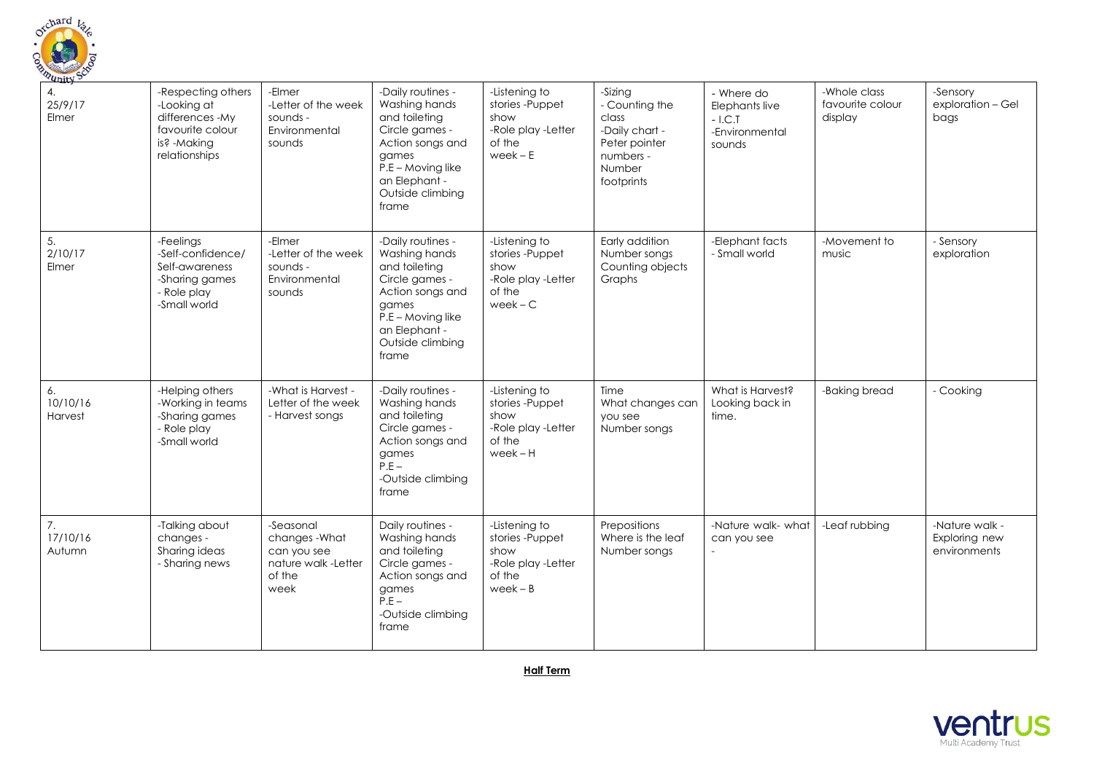

| 201N<br>4.<br>25/9/17<br>Elmer | -Respecting others<br>-Looking at<br>differences -My<br>favourite colour<br>is? -Making<br>relationships | -Elmer<br>-Letter of the week<br>sounds -<br>Environmental<br>sounds              | -Daily routines -<br>Washing hands<br>and toileting<br>Circle games -<br>Action songs and<br>games<br>P.E - Moving like<br>an Elephant -<br>Outside climbing<br>frame | -Listening to<br>stories-Puppet<br>show<br>-Role play -Letter<br>of the<br>$week - E$ | -Sizing<br>- Counting the<br>class<br>-Daily chart -<br>Peter pointer<br>numbers -<br>Number<br>footprints | - Where do<br>Elephants live<br>$-$ I.C.T<br>-Environmental<br>sounds | -Whole class<br>favourite colour<br>display | -Sensory<br>exploration - Gel<br>bags           |
|--------------------------------|----------------------------------------------------------------------------------------------------------|-----------------------------------------------------------------------------------|-----------------------------------------------------------------------------------------------------------------------------------------------------------------------|---------------------------------------------------------------------------------------|------------------------------------------------------------------------------------------------------------|-----------------------------------------------------------------------|---------------------------------------------|-------------------------------------------------|
| 5.<br>2/10/17<br>Elmer         | -Feelings<br>-Self-confidence/<br>Self-awareness<br>-Sharing games<br>- Role play<br>-Small world        | -Elmer<br>-Letter of the week<br>sounds -<br>Environmental<br>sounds              | -Daily routines -<br>Washing hands<br>and toileting<br>Circle games -<br>Action songs and<br>games<br>P.E - Moving like<br>an Elephant -<br>Outside climbing<br>frame | -Listening to<br>stories-Puppet<br>show<br>-Role play -Letter<br>of the<br>$week - C$ | Early addition<br>Number songs<br>Counting objects<br>Graphs                                               | -Elephant facts<br>- Small world                                      | -Movement to<br>music                       | - Sensory<br>exploration                        |
| 6.<br>10/10/16<br>Harvest      | -Helping others<br>-Working in teams<br>-Sharing games<br>- Role play<br>-Small world                    | -What is Harvest -<br>Letter of the week<br>- Harvest songs                       | -Daily routines -<br>Washing hands<br>and toileting<br>Circle games -<br>Action songs and<br>games<br>$P.E -$<br>-Outside climbing<br>frame                           | -Listening to<br>stories-Puppet<br>show<br>-Role play -Letter<br>of the<br>$week - H$ | Time<br>What changes can<br>you see<br>Number songs                                                        | What is Harvest?<br>Looking back in<br>time.                          | -Baking bread                               | - Cooking                                       |
| 7.<br>17/10/16<br>Autumn       | -Talking about<br>changes -<br>Sharing ideas<br>- Sharing news                                           | -Seasonal<br>changes-What<br>can you see<br>nature walk -Letter<br>of the<br>week | Daily routines -<br>Washing hands<br>and toileting<br>Circle games -<br>Action songs and<br>games<br>$P.E -$<br>-Outside climbing<br>frame                            | -Listening to<br>stories-Puppet<br>show<br>-Role play -Letter<br>of the<br>$week - B$ | Prepositions<br>Where is the leaf<br>Number songs                                                          | -Nature walk- what<br>can you see                                     | -Leaf rubbing                               | -Nature walk -<br>Exploring new<br>environments |

**Half Term**